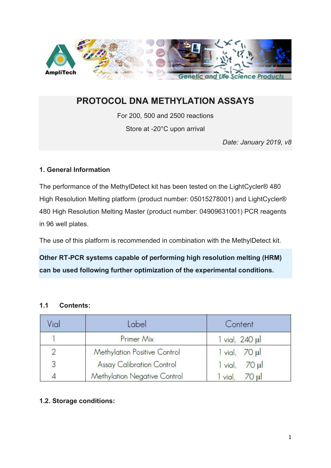

# PROTOCOL DNA METHYLATION ASSAYS

For 200, 500 and 2500 reactions

Store at -20°C upon arrival

Date: January 2019, v8

## 1. General Information

The performance of the MethylDetect kit has been tested on the LightCycler® 480 High Resolution Melting platform (product number: 05015278001) and LightCycler® 480 High Resolution Melting Master (product number: 04909631001) PCR reagents in 96 well plates.

The use of this platform is recommended in combination with the MethylDetect kit.

Other RT-PCR systems capable of performing high resolution melting (HRM) can be used following further optimization of the experimental conditions.

### 1.1 Contents:

| Vial | Label                            | Content                        |  |  |
|------|----------------------------------|--------------------------------|--|--|
|      | Primer Mix                       | $1$ vial, $240$ $\mu$          |  |  |
|      | Methylation Positive Control     | $1$ vial, $70$ $\mu$           |  |  |
| 3    | <b>Assay Calibration Control</b> | $70 \mu$<br>$\mathsf{l}$ vial, |  |  |
|      | Methylation Negative Control     | 70 ul<br>vial                  |  |  |

# 1.2. Storage conditions: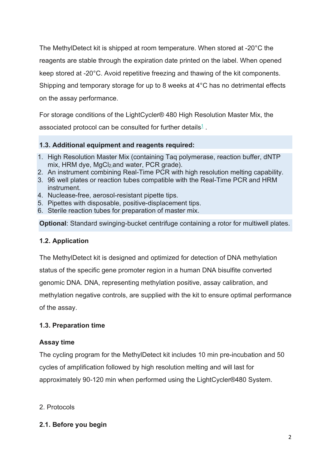The MethylDetect kit is shipped at room temperature. When stored at -20°C the reagents are stable through the expiration date printed on the label. When opened keep stored at -20°C. Avoid repetitive freezing and thawing of the kit components. Shipping and temporary storage for up to 8 weeks at 4°C has no detrimental effects on the assay performance.

For storage conditions of the LightCycler® 480 High Resolution Master Mix, the associated protocol can be consulted for further details $1$  .

## 1.3. Additional equipment and reagents required:

- 1. High Resolution Master Mix (containing Taq polymerase, reaction buffer, dNTP mix, HRM dye, MgCl<sub>2</sub>, and water, PCR grade).
- 2. An instrument combining Real-Time PCR with high resolution melting capability.
- 3. 96 well plates or reaction tubes compatible with the Real-Time PCR and HRM instrument.
- 4. Nuclease-free, aerosol-resistant pipette tips.
- 5. Pipettes with disposable, positive-displacement tips.
- 6. Sterile reaction tubes for preparation of master mix.

Optional: Standard swinging-bucket centrifuge containing a rotor for multiwell plates.

### 1.2. Application

The MethylDetect kit is designed and optimized for detection of DNA methylation status of the specific gene promoter region in a human DNA bisulfite converted genomic DNA. DNA, representing methylation positive, assay calibration, and methylation negative controls, are supplied with the kit to ensure optimal performance of the assay.

### 1.3. Preparation time

### Assay time

The cycling program for the MethylDetect kit includes 10 min pre-incubation and 50 cycles of amplification followed by high resolution melting and will last for approximately 90-120 min when performed using the LightCycler®480 System.

### 2. Protocols

# 2.1. Before you begin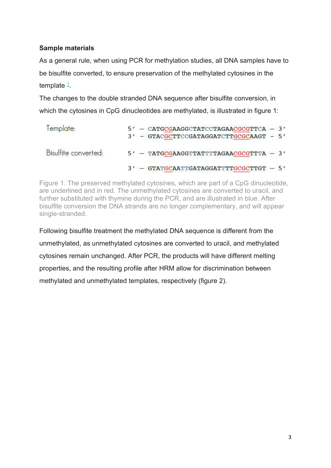# Sample materials

As a general rule, when using PCR for methylation studies, all DNA samples have to be bisulfite converted, to ensure preservation of the methylated cytosines in the template <sup>1</sup>.

The changes to the double stranded DNA sequence after bisulfite conversion, in which the cytosines in CpG dinucleotides are methylated, is illustrated in figure 1:

| Template:            | 5' - CATGCGAAGGCTATCCTAGAACGCGTTCA - 3'<br>3' - GTACGCTTCCGATAGGATCTTGCGCAAGT - 5' |
|----------------------|------------------------------------------------------------------------------------|
| Bisulfite converted: | $5'$ - TATGCGAAGGTTATTTTAGAACGCGTTTA - 3'                                          |
|                      | $3'$ - GTATGCAATTGATAGGATTTTGCGCTTGT - $5'$                                        |

Figure 1. The preserved methylated cytosines, which are part of a CpG dinucleotide, are underlined and in red. The unmethylated cytosines are converted to uracil, and further substituted with thymine during the PCR, and are illustrated in blue. After bisulfite conversion the DNA strands are no longer complementary, and will appear single-stranded.

Following bisulfite treatment the methylated DNA sequence is different from the unmethylated, as unmethylated cytosines are converted to uracil, and methylated cytosines remain unchanged. After PCR, the products will have different melting properties, and the resulting profile after HRM allow for discrimination between methylated and unmethylated templates, respectively (figure 2).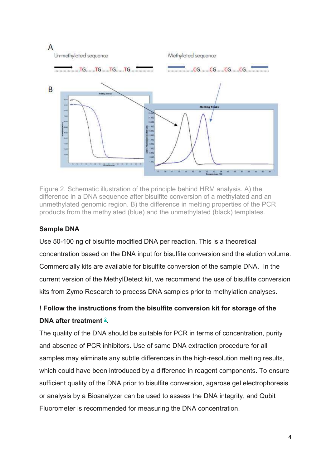

Figure 2. Schematic illustration of the principle behind HRM analysis. A) the difference in a DNA sequence after bisulfite conversion of a methylated and an unmethylated genomic region. B) the difference in melting properties of the PCR products from the methylated (blue) and the unmethylated (black) templates.

# Sample DNA

Use 50-100 ng of bisulfite modified DNA per reaction. This is a theoretical concentration based on the DNA input for bisulfite conversion and the elution volume. Commercially kits are available for bisulfite conversion of the sample DNA. In the current version of the MethylDetect kit, we recommend the use of bisulfite conversion kits from Zymo Research to process DNA samples prior to methylation analyses.

# ! Follow the instructions from the bisulfite conversion kit for storage of the DNA after treatment  $2$ .

The quality of the DNA should be suitable for PCR in terms of concentration, purity and absence of PCR inhibitors. Use of same DNA extraction procedure for all samples may eliminate any subtle differences in the high-resolution melting results, which could have been introduced by a difference in reagent components. To ensure sufficient quality of the DNA prior to bisulfite conversion, agarose gel electrophoresis or analysis by a Bioanalyzer can be used to assess the DNA integrity, and Qubit Fluorometer is recommended for measuring the DNA concentration.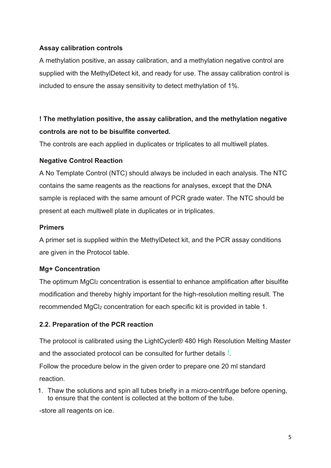### Assay calibration controls

A methylation positive, an assay calibration, and a methylation negative control are supplied with the MethylDetect kit, and ready for use. The assay calibration control is included to ensure the assay sensitivity to detect methylation of 1%.

# ! The methylation positive, the assay calibration, and the methylation negative controls are not to be bisulfite converted.

The controls are each applied in duplicates or triplicates to all multiwell plates.

#### Negative Control Reaction

A No Template Control (NTC) should always be included in each analysis. The NTC contains the same reagents as the reactions for analyses, except that the DNA sample is replaced with the same amount of PCR grade water. The NTC should be present at each multiwell plate in duplicates or in triplicates.

#### **Primers**

A primer set is supplied within the MethylDetect kit, and the PCR assay conditions are given in the Protocol table.

#### Mg+ Concentration

The optimum MgCl<sub>2</sub> concentration is essential to enhance amplification after bisulfite modification and thereby highly important for the high-resolution melting result. The recommended MgCl<sub>2</sub> concentration for each specific kit is provided in table 1.

### 2.2. Preparation of the PCR reaction

The protocol is calibrated using the LightCycler® 480 High Resolution Melting Master and the associated protocol can be consulted for further details  $1$ . Follow the procedure below in the given order to prepare one 20 ml standard reaction.

1. Thaw the solutions and spin all tubes briefly in a micro-centrifuge before opening, to ensure that the content is collected at the bottom of the tube.

-store all reagents on ice.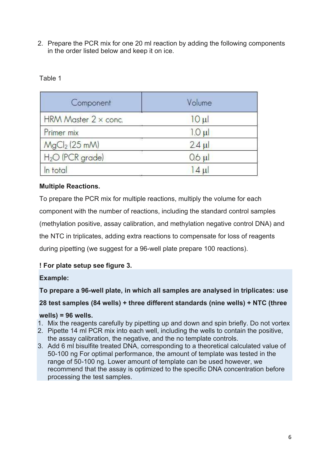2. Prepare the PCR mix for one 20 ml reaction by adding the following components in the order listed below and keep it on ice.

| Component                    | Volume      |  |  |
|------------------------------|-------------|--|--|
| HRM Master 2 x conc.         | $10 \mu$    |  |  |
| Primer mix                   | $1.0 \mu$   |  |  |
| $MgCl2$ (25 mM)              | $2.4 \mu$   |  |  |
| H <sub>2</sub> O (PCR grade) | $0.6$ $\mu$ |  |  |
| In total                     | $ 4 \mu $   |  |  |

## Table 1

## Multiple Reactions.

To prepare the PCR mix for multiple reactions, multiply the volume for each component with the number of reactions, including the standard control samples (methylation positive, assay calibration, and methylation negative control DNA) and the NTC in triplicates, adding extra reactions to compensate for loss of reagents during pipetting (we suggest for a 96-well plate prepare 100 reactions).

### ! For plate setup see figure 3.

### Example:

### To prepare a 96-well plate, in which all samples are analysed in triplicates: use

# 28 test samples (84 wells) + three different standards (nine wells) + NTC (three

### wells) = 96 wells.

- 1. Mix the reagents carefully by pipetting up and down and spin briefly. Do not vortex
- 2. Pipette 14 ml PCR mix into each well, including the wells to contain the positive, the assay calibration, the negative, and the no template controls.
- 3. Add 6 ml bisulfite treated DNA, corresponding to a theoretical calculated value of 50-100 ng For optimal performance, the amount of template was tested in the range of 50-100 ng. Lower amount of template can be used however, we recommend that the assay is optimized to the specific DNA concentration before processing the test samples.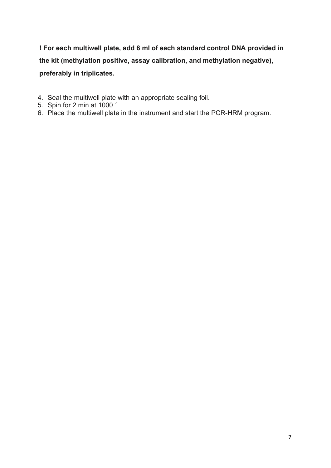! For each multiwell plate, add 6 ml of each standard control DNA provided in the kit (methylation positive, assay calibration, and methylation negative), preferably in triplicates.

- 4. Seal the multiwell plate with an appropriate sealing foil.
- 5. Spin for 2 min at 1000 ´
- 6. Place the multiwell plate in the instrument and start the PCR-HRM program.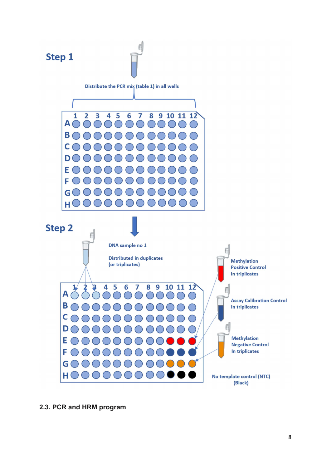

2.3. PCR and HRM program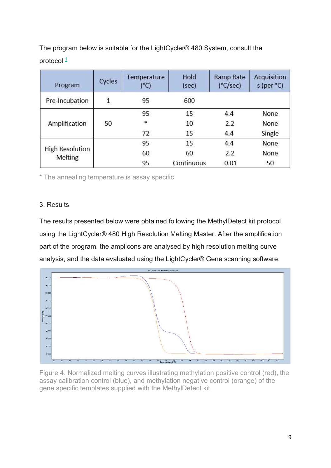The program below is suitable for the LightCycler® 480 System, consult the protocol  $1$ 

| Program                           | Cycles       | Temperature<br>(°C) | Hold<br>(sec) | <b>Ramp Rate</b><br>$(^{\circ}C/sec)$ | Acquisition<br>s (per °C) |
|-----------------------------------|--------------|---------------------|---------------|---------------------------------------|---------------------------|
| Pre-Incubation                    | $\mathbf{1}$ | 95                  | 600           |                                       |                           |
|                                   |              | 95                  | 15            | 4.4                                   | <b>None</b>               |
| Amplification                     | 50           | *                   | 10            | 2.2                                   | None                      |
|                                   |              | 72                  | 15            | 4.4                                   | Single                    |
|                                   |              | 95                  | 15            | 4.4                                   | None                      |
| <b>High Resolution</b><br>Melting |              | 60                  | 60            | 2.2                                   | None                      |
|                                   |              | 95                  | Continuous    | 0.01                                  | 50                        |

\* The annealing temperature is assay specific

#### 3. Results

The results presented below were obtained following the MethylDetect kit protocol, using the LightCycler® 480 High Resolution Melting Master. After the amplification part of the program, the amplicons are analysed by high resolution melting curve analysis, and the data evaluated using the LightCycler® Gene scanning software.



Figure 4. Normalized melting curves illustrating methylation positive control (red), the assay calibration control (blue), and methylation negative control (orange) of the gene specific templates supplied with the MethylDetect kit.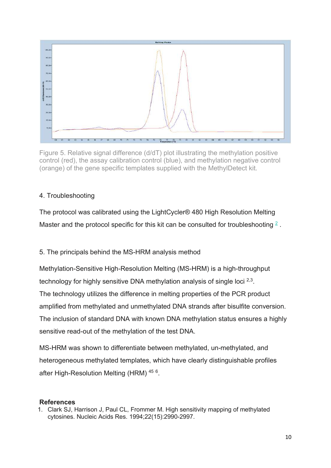

Figure 5. Relative signal difference (d/dT) plot illustrating the methylation positive control (red), the assay calibration control (blue), and methylation negative control (orange) of the gene specific templates supplied with the MethylDetect kit.

## 4. Troubleshooting

The protocol was calibrated using the LightCycler® 480 High Resolution Melting Master and the protocol specific for this kit can be consulted for troubleshooting  $2$ .

5. The principals behind the MS-HRM analysis method

Methylation-Sensitive High-Resolution Melting (MS-HRM) is a high-throughput technology for highly sensitive DNA methylation analysis of single loci <sup>2,3</sup>. The technology utilizes the difference in melting properties of the PCR product amplified from methylated and unmethylated DNA strands after bisulfite conversion. The inclusion of standard DNA with known DNA methylation status ensures a highly sensitive read-out of the methylation of the test DNA.

MS-HRM was shown to differentiate between methylated, un-methylated, and heterogeneous methylated templates, which have clearly distinguishable profiles after High-Resolution Melting (HRM) <sup>45 6</sup>.

#### **References**

1. Clark SJ, Harrison J, Paul CL, Frommer M. High sensitivity mapping of methylated cytosines. Nucleic Acids Res. 1994;22(15):2990-2997.